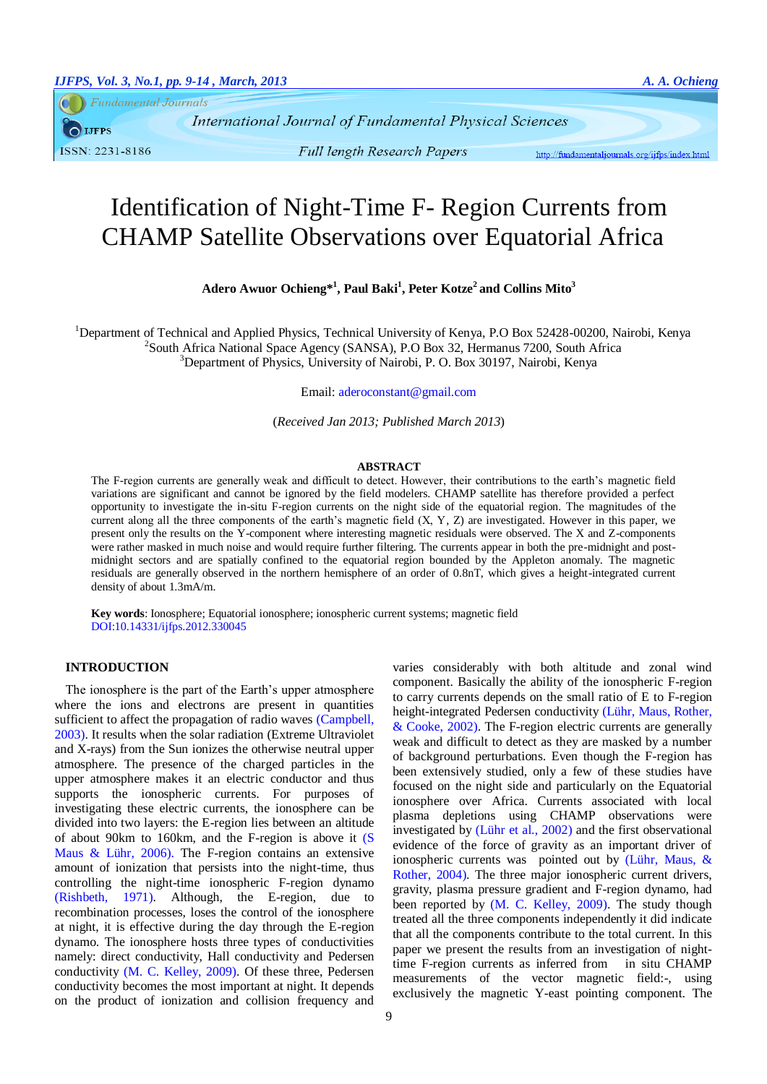**Fundamental Journals** 

 $\bigcirc$  LIFPS ISSN: 2231-8186

International Journal of Fundamental Physical Sciences

**Full length Research Papers** 

http://fundamentaljournals.org/ijfps/index.html

# Identification of Night-Time F- Region Currents from CHAMP Satellite Observations over Equatorial Africa

**Adero Awuor Ochieng\*<sup>1</sup> , Paul Baki<sup>1</sup> , Peter Kotze<sup>2</sup>and Collins Mito<sup>3</sup>**

<sup>1</sup>Department of Technical and Applied Physics, Technical University of Kenya, P.O Box 52428-00200, Nairobi, Kenya <sup>2</sup>South Africa National Space Agency (SANSA), P.O Box 32, Hermanus 7200, South Africa  $3$ Department of Physics, University of Nairobi, P. O. Box 30197, Nairobi, Kenya

Email: [aderoconstant@gmail.com](mailto:aderoconstant@gmail.com)

(*Received Jan 2013; Published March 2013*)

## **ABSTRACT**

The F-region currents are generally weak and difficult to detect. However, their contributions to the earth's magnetic field variations are significant and cannot be ignored by the field modelers. CHAMP satellite has therefore provided a perfect opportunity to investigate the in-situ F-region currents on the night side of the equatorial region. The magnitudes of the current along all the three components of the earth's magnetic field (X, Y, Z) are investigated. However in this paper, we present only the results on the Y-component where interesting magnetic residuals were observed. The X and Z-components were rather masked in much noise and would require further filtering. The currents appear in both the pre-midnight and postmidnight sectors and are spatially confined to the equatorial region bounded by the Appleton anomaly. The magnetic residuals are generally observed in the northern hemisphere of an order of 0.8nT, which gives a height-integrated current density of about 1.3mA/m.

**Key words**: Ionosphere; Equatorial ionosphere; ionospheric current systems; magnetic field DOI:10.14331/ijfps.2012.330045

## **INTRODUCTION**

The ionosphere is the part of the Earth's upper atmosphere where the ions and electrons are present in quantities sufficient to affect the propagation of radio waves [\(Campbell,](#page-5-0)  [2003\)](#page-5-0). It results when the solar radiation (Extreme Ultraviolet and X-rays) from the Sun ionizes the otherwise neutral upper atmosphere. The presence of the charged particles in the upper atmosphere makes it an electric conductor and thus supports the ionospheric currents. For purposes of investigating these electric currents, the ionosphere can be divided into two layers: the E-region lies between an altitude of about 90km to 160km, and the F-region is above it [\(S](#page-5-1)  [Maus & Lühr, 2006\)](#page-5-1). The F-region contains an extensive amount of ionization that persists into the night-time, thus controlling the night-time ionospheric F-region dynamo [\(Rishbeth, 1971\)](#page-5-2). Although, the E-region, due to recombination processes, loses the control of the ionosphere at night, it is effective during the day through the E-region dynamo. The ionosphere hosts three types of conductivities namely: direct conductivity, Hall conductivity and Pedersen conductivity [\(M. C. Kelley, 2009\)](#page-5-3). Of these three, Pedersen conductivity becomes the most important at night. It depends on the product of ionization and collision frequency and

varies considerably with both altitude and zonal wind component. Basically the ability of the ionospheric F-region to carry currents depends on the small ratio of E to F-region height-integrated Pedersen conductivity [\(Lühr, Maus, Rother,](#page-5-4)  [& Cooke, 2002\)](#page-5-4). The F-region electric currents are generally weak and difficult to detect as they are masked by a number of background perturbations. Even though the F-region has been extensively studied, only a few of these studies have focused on the night side and particularly on the Equatorial ionosphere over Africa. Currents associated with local plasma depletions using CHAMP observations were investigated by [\(Lühr et al., 2002\)](#page-5-4) and the first observational evidence of the force of gravity as an important driver of ionospheric currents was pointed out by [\(Lühr, Maus, &](#page-5-5)  [Rother, 2004\)](#page-5-5). The three major ionospheric current drivers, gravity, plasma pressure gradient and F-region dynamo, had been reported by [\(M. C. Kelley, 2009\)](#page-5-3). The study though treated all the three components independently it did indicate that all the components contribute to the total current. In this paper we present the results from an investigation of nighttime F-region currents as inferred from in situ CHAMP measurements of the vector magnetic field:-, using exclusively the magnetic Y-east pointing component. The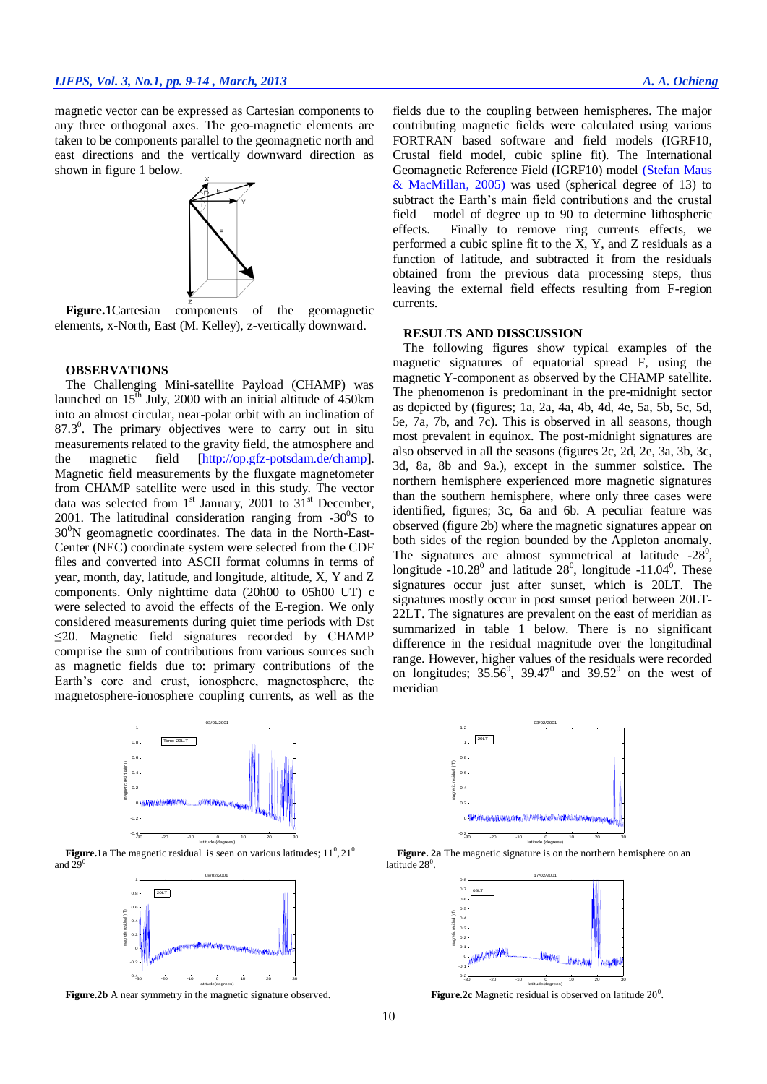magnetic vector can be expressed as Cartesian components to any three orthogonal axes. The geo-magnetic elements are taken to be components parallel to the geomagnetic north and east directions and the vertically downward direction as shown in figure 1 below.



**Figure.1**Cartesian components of the geomagnetic elements, x-North, East [\(M. Kelley\)](#page-5-6), z-vertically downward.

#### **OBSERVATIONS**

The Challenging Mini-satellite Payload (CHAMP) was launched on  $15<sup>th</sup>$  July, 2000 with an initial altitude of 450km into an almost circular, near-polar orbit with an inclination of  $87.3^\circ$ . The primary objectives were to carry out in situ measurements related to the gravity field, the atmosphere and the magnetic field [http://op.gfz-potsdam.de/champ]. Magnetic field measurements by the fluxgate magnetometer from CHAMP satellite were used in this study. The vector data was selected from  $1<sup>st</sup>$  January, 2001 to  $31<sup>st</sup>$  December, 2001. The latitudinal consideration ranging from  $-30^0$ S to  $30^{\circ}$ N geomagnetic coordinates. The data in the North-East-Center (NEC) coordinate system were selected from the CDF files and converted into ASCII format columns in terms of year, month, day, latitude, and longitude, altitude, X, Y and Z components. Only nighttime data (20h00 to 05h00 UT) c were selected to avoid the effects of the E-region. We only considered measurements during quiet time periods with Dst  $\leq$ 20. Magnetic field signatures recorded by CHAMP comprise the sum of contributions from various sources such as magnetic fields due to: primary contributions of the Earth's core and crust, ionosphere, magnetosphere, the magnetosphere-ionosphere coupling currents, as well as the



**Figure.1a** The magnetic residual is seen on various latitudes;  $11^{\circ}, 21^{\circ}$ and  $29^0$ 



**Figure.2b** A near symmetry in the magnetic signature observed.

fields due to the coupling between hemispheres. The major contributing magnetic fields were calculated using various FORTRAN based software and field models (IGRF10, Crustal field model, cubic spline fit). The International Geomagnetic Reference Field (IGRF10) model (Stefan Maus & MacMillan, 2005) was used (spherical degree of 13) to subtract the Earth's main field contributions and the crustal field model of degree up to 90 to determine lithospheric effects. Finally to remove ring currents effects, we performed a cubic spline fit to the X, Y, and Z residuals as a function of latitude, and subtracted it from the residuals obtained from the previous data processing steps, thus leaving the external field effects resulting from F-region currents.

## **RESULTS AND DISSCUSSION**

The following figures show typical examples of the magnetic signatures of equatorial spread F, using the magnetic Y-component as observed by the CHAMP satellite. The phenomenon is predominant in the pre-midnight sector as depicted by (figures; 1a, 2a, 4a, 4b, 4d, 4e, 5a, 5b, 5c, 5d, 5e, 7a, 7b, and 7c). This is observed in all seasons, though most prevalent in equinox. The post-midnight signatures are also observed in all the seasons (figures 2c, 2d, 2e, 3a, 3b, 3c, 3d, 8a, 8b and 9a.), except in the summer solstice. The northern hemisphere experienced more magnetic signatures than the southern hemisphere, where only three cases were identified, figures; 3c, 6a and 6b. A peculiar feature was observed (figure 2b) where the magnetic signatures appear on both sides of the region bounded by the Appleton anomaly. The signatures are almost symmetrical at latitude  $-28^\circ$ , longitude -10.28 $^0$  and latitude  $28^0$ , longitude -11.04 $^0$ . These signatures occur just after sunset, which is 20LT. The signatures mostly occur in post sunset period between 20LT-22LT. The signatures are prevalent on the east of meridian as summarized in table 1 below. There is no significant difference in the residual magnitude over the longitudinal range. However, higher values of the residuals were recorded on longitudes;  $35.56^{\circ}$ ,  $39.47^{\circ}$  and  $39.52^{\circ}$  on the west of meridian



**Figure. 2a** The magnetic signature is on the northern hemisphere on an latitude  $28^\circ$ .



Figure.2c Magnetic residual is observed on latitude  $20^\circ$ .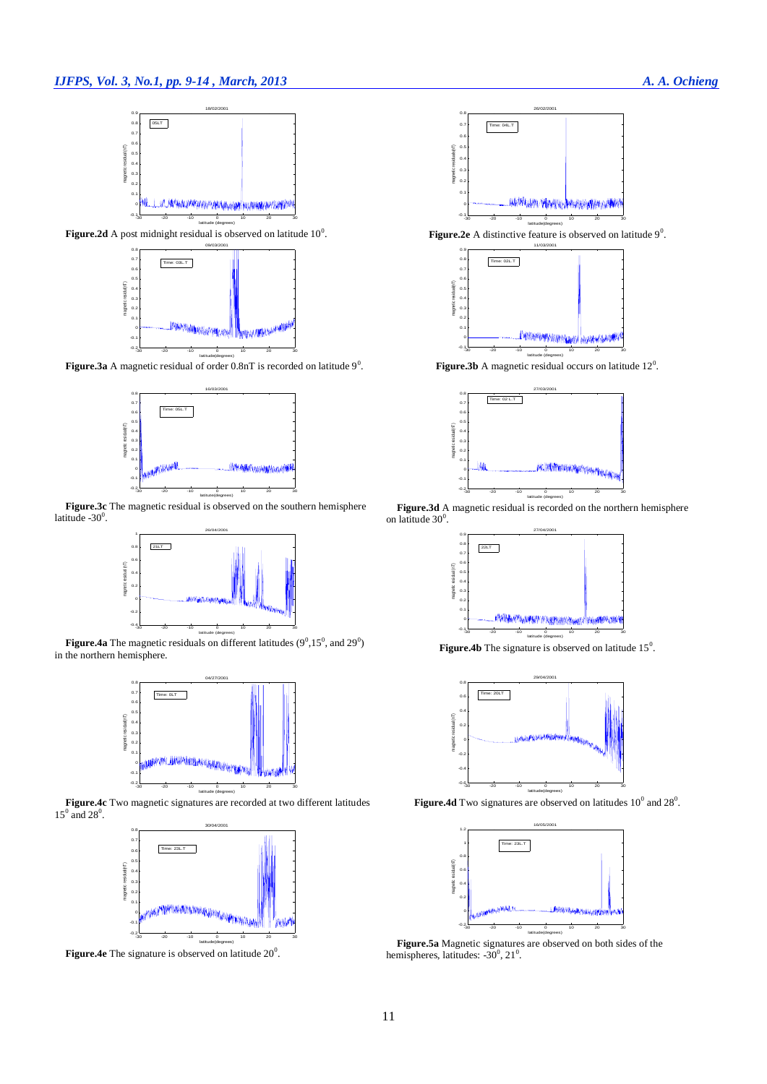

**Figure.2d** A post midnight residual is observed on latitude  $10^0$ .



**Figure.3a** A magnetic residual of order  $0.8nT$  is recorded on latitude  $9^0$ .



**Figure.3c** The magnetic residual is observed on the southern hemisphere latitude  $-30^\circ$ .



**Figure.4a** The magnetic residuals on different latitudes  $(9^0,15^0, \text{ and } 29^0)$ in the northern hemisphere.



**Figure.4c** Two magnetic signatures are recorded at two different latitudes  $15^0$  and  $28^0$ .



**Figure.4e** The signature is observed on latitude  $20^{\circ}$ .



**Figure.2e** A distinctive feature is observed on latitude 9<sup>0</sup>.



**Figure.3b** A magnetic residual occurs on latitude  $12^{\circ}$ .



**Figure.3d** A magnetic residual is recorded on the northern hemisphere on latitude  $30^0$ .



**Figure.4b** The signature is observed on latitude  $15^{\circ}$ .



**Figure.4d** Two signatures are observed on latitudes  $10^{\circ}$  and  $28^{\circ}$ .



**Figure.5a** Magnetic signatures are observed on both sides of the hemispheres, latitudes:  $-30^{\circ}$ ,  $21^{\circ}$ .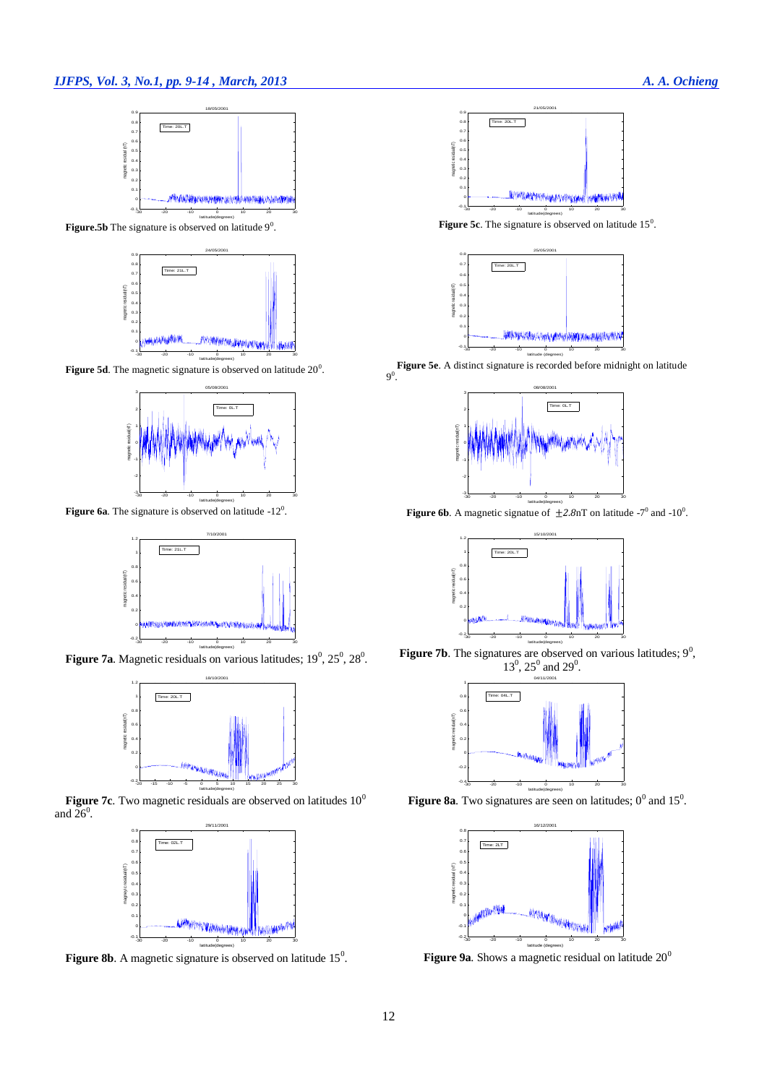

**Figure.5b** The signature is observed on latitude  $9^0$ .



**Figure 5d**. The magnetic signature is observed on latitude  $20^{\circ}$ .



**Figure 6a**. The signature is observed on latitude  $-12^0$ .



**Figure 7a.** Magnetic residuals on various latitudes;  $19^0$ ,  $25^0$ ,  $28^0$ .



**Figure 7c**. Two magnetic residuals are observed on latitudes 10<sup>0</sup> and  $26^\circ$ .



**Figure 8b.** A magnetic signature is observed on latitude  $15<sup>0</sup>$ .



**Figure 5c**. The signature is observed on latitude 15<sup>0</sup>.



**Figure 5e**. A distinct signature is recorded before midnight on latitude  $9^0.$ 



**Figure 6b**. A magnetic signatue of  $\pm 2.8$ nT on latitude  $-7^0$  and  $-10^0$ .



**Figure 7b**. The signatures are observed on various latitudes;  $9^0$ ,  $13^0$ ,  $25^0$  and  $29^0$ .



**Figure 8a**. Two signatures are seen on latitudes;  $0^0$  and  $15^0$ .



Figure 9a. Shows a magnetic residual on latitude 20<sup>0</sup>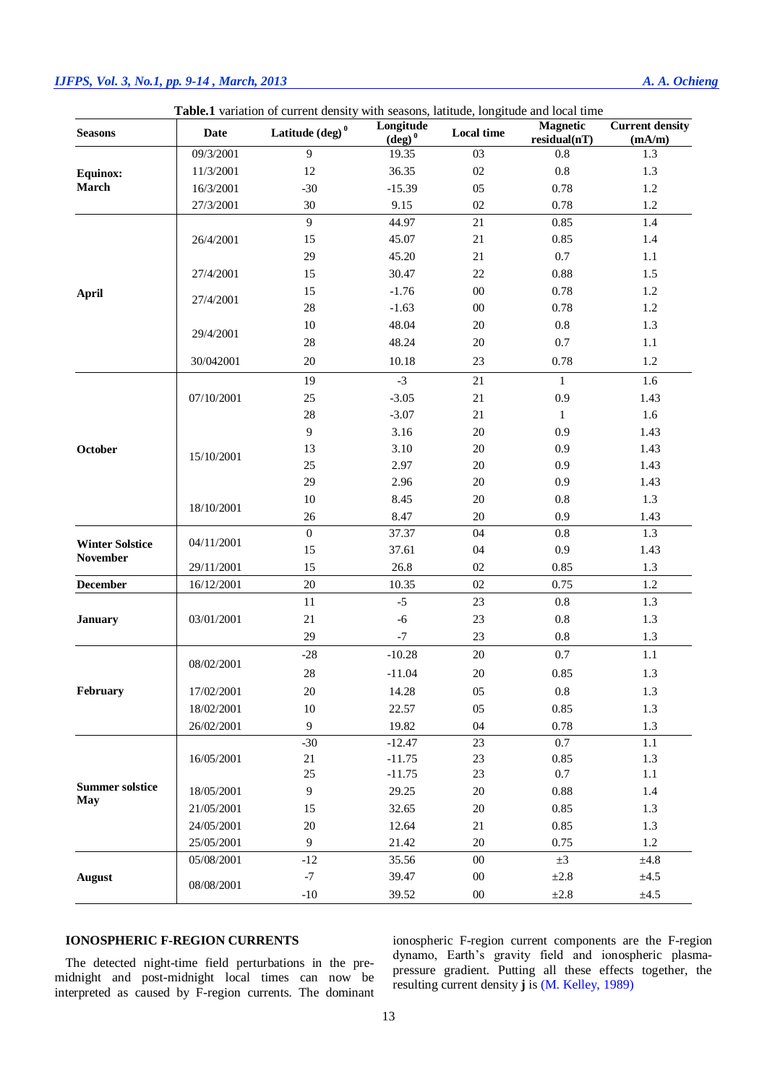# *IJFPS, Vol. 3, No.1, pp. 9-14 , March, 2013 A. A. Ochieng*

| Table.1 variation of current density with seasons, latitude, longitude and local time<br>Longitude<br><b>Magnetic</b> |                          |                           |                      |                   |              |                                  |
|-----------------------------------------------------------------------------------------------------------------------|--------------------------|---------------------------|----------------------|-------------------|--------------|----------------------------------|
| <b>Seasons</b>                                                                                                        | <b>Date</b>              | Latitude $(\text{deg})^0$ | $(\overline{deg})^0$ | <b>Local time</b> | residual(nT) | <b>Current density</b><br>(mA/m) |
|                                                                                                                       | 09/3/2001                | 9                         | 19.35                | $03\,$            | $0.8\,$      | 1.3                              |
| <b>Equinox:</b>                                                                                                       | 11/3/2001                | 12                        | 36.35                | 02                | $0.8\,$      | 1.3                              |
| March                                                                                                                 | 16/3/2001                | $-30$                     | $-15.39$             | 05                | 0.78         | $1.2\,$                          |
|                                                                                                                       | 27/3/2001                | 30                        | 9.15                 | 02                | 0.78         | 1.2                              |
| <b>April</b>                                                                                                          | 26/4/2001                | 9                         | 44.97                | 21                | 0.85         | 1.4                              |
|                                                                                                                       |                          | 15                        | 45.07                | 21                | 0.85         | 1.4                              |
|                                                                                                                       |                          | 29                        | 45.20                | 21                | 0.7          | 1.1                              |
|                                                                                                                       | 27/4/2001                | 15                        | 30.47                | 22                | 0.88         | 1.5                              |
|                                                                                                                       | 27/4/2001                | 15                        | $-1.76$              | $00\,$            | 0.78         | 1.2                              |
|                                                                                                                       |                          | 28                        | $-1.63$              | $00\,$            | 0.78         | $1.2\,$                          |
|                                                                                                                       | 29/4/2001                | 10                        | 48.04                | $20\,$            | $0.8\,$      | 1.3                              |
|                                                                                                                       |                          | 28                        | 48.24                | $20\,$            | 0.7          | 1.1                              |
|                                                                                                                       | 30/042001                | $20\,$                    | 10.18                | 23                | 0.78         | 1.2                              |
| October                                                                                                               |                          | 19                        | $-3$                 | 21                | $\mathbf{1}$ | 1.6                              |
|                                                                                                                       | 07/10/2001               | 25                        | $-3.05$              | 21                | 0.9          | 1.43                             |
|                                                                                                                       |                          | 28                        | $-3.07$              | 21                | $\mathbf{1}$ | 1.6                              |
|                                                                                                                       | 15/10/2001               | 9                         | 3.16                 | $20\,$            | 0.9          | 1.43                             |
|                                                                                                                       |                          | 13                        | 3.10                 | $20\,$            | 0.9          | 1.43                             |
|                                                                                                                       |                          | 25                        | 2.97                 | $20\,$            | 0.9          | 1.43                             |
|                                                                                                                       |                          | 29                        | 2.96                 | 20                | 0.9          | 1.43                             |
|                                                                                                                       | 18/10/2001               | $10\,$                    | 8.45                 | $20\,$            | $0.8\,$      | 1.3                              |
|                                                                                                                       |                          | $26\,$                    | 8.47                 | $20\,$            | 0.9          | 1.43                             |
|                                                                                                                       |                          | $\boldsymbol{0}$          | 37.37                | 04                | $0.8\,$      | 1.3                              |
| <b>Winter Solstice</b><br><b>November</b>                                                                             | 04/11/2001<br>29/11/2001 | 15                        | 37.61                | 04                | 0.9          | 1.43                             |
|                                                                                                                       |                          | 15                        | 26.8                 | 02                | 0.85         | 1.3                              |
| <b>December</b>                                                                                                       | 16/12/2001               | $20\,$                    | 10.35                | $02\,$            | 0.75         | $1.2\,$                          |
|                                                                                                                       |                          | 11                        | $-5$                 | 23                | $0.8\,$      |                                  |
| <b>January</b><br>February                                                                                            | 03/01/2001               |                           |                      |                   |              | 1.3                              |
|                                                                                                                       |                          | $21\,$                    | $-6$                 | 23                | $0.8\,$      | 1.3                              |
|                                                                                                                       |                          | 29                        | $-7$                 | 23                | $0.8\,$      | 1.3                              |
|                                                                                                                       | 08/02/2001               | $-28$                     | $-10.28$             | $20\,$            | 0.7          | $1.1\,$                          |
|                                                                                                                       |                          | 28                        | $-11.04$             | $20\,$            | 0.85         | 1.3                              |
|                                                                                                                       | 17/02/2001               | $20\,$                    | 14.28                | 05                | $\rm 0.8$    | 1.3                              |
|                                                                                                                       | 18/02/2001               | $10\,$                    | 22.57                | 05                | 0.85         | $1.3\,$                          |
|                                                                                                                       | 26/02/2001               | $\overline{9}$            | 19.82                | 04                | 0.78         | 1.3                              |
| <b>Summer solstice</b><br>May                                                                                         | 16/05/2001               | $-30$                     | $-12.47$             | $23\,$            | 0.7          | 1.1                              |
|                                                                                                                       |                          | 21                        | $-11.75$             | $23\,$            | 0.85         | 1.3                              |
|                                                                                                                       |                          | $25\,$                    | $-11.75$             | $23\,$            | 0.7          | 1.1                              |
|                                                                                                                       | 18/05/2001               | 9                         | 29.25                | $20\,$            | 0.88         | 1.4                              |
|                                                                                                                       | 21/05/2001               | 15                        | 32.65                | $20\,$            | 0.85         | 1.3                              |
|                                                                                                                       | 24/05/2001               | $20\,$                    | 12.64                | 21                | 0.85         | 1.3                              |
|                                                                                                                       | 25/05/2001               | $\overline{9}$            | 21.42                | $20\,$            | 0.75         | 1.2                              |
| <b>August</b>                                                                                                         | 05/08/2001               | $-12$                     | 35.56                | $00\,$            | $\pm 3$      | ±4.8                             |
|                                                                                                                       | 08/08/2001               | $\textnormal{-}7$         | 39.47                | $00\,$            | $\pm 2.8$    | $\pm 4.5$                        |
|                                                                                                                       |                          | $-10$                     | 39.52                | $0 \\ 0$          | $\pm 2.8$    | $\pm 4.5$                        |

## **IONOSPHERIC F-REGION CURRENTS**

The detected night-time field perturbations in the premidnight and post-midnight local times can now be interpreted as caused by F-region currents. The dominant ionospheric F-region current components are the F-region dynamo, Earth's gravity field and ionospheric plasmapressure gradient. Putting all these effects together, the resulting current density **j** is [\(M. Kelley, 1989\)](#page-5-6)